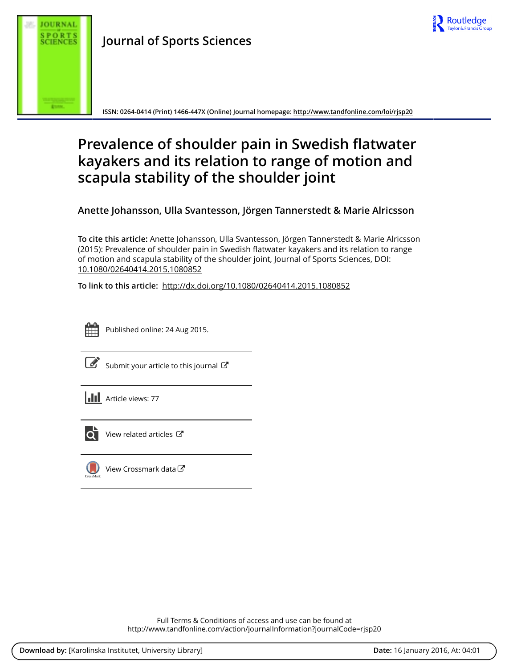

**Journal of Sports Sciences**

**ISSN: 0264-0414 (Print) 1466-447X (Online) Journal homepage: <http://www.tandfonline.com/loi/rjsp20>**

# **Prevalence of shoulder pain in Swedish flatwater kayakers and its relation to range of motion and scapula stability of the shoulder joint**

**Anette Johansson, Ulla Svantesson, Jörgen Tannerstedt & Marie Alricsson**

**To cite this article:** Anette Johansson, Ulla Svantesson, Jörgen Tannerstedt & Marie Alricsson (2015): Prevalence of shoulder pain in Swedish flatwater kayakers and its relation to range of motion and scapula stability of the shoulder joint, Journal of Sports Sciences, DOI: [10.1080/02640414.2015.1080852](http://www.tandfonline.com/action/showCitFormats?doi=10.1080/02640414.2015.1080852)

**To link to this article:** <http://dx.doi.org/10.1080/02640414.2015.1080852>



Published online: 24 Aug 2015.

|--|

[Submit your article to this journal](http://www.tandfonline.com/action/authorSubmission?journalCode=rjsp20&page=instructions)  $\mathbb{Z}$ 

**II** Article views: 77



 $\overline{\mathbf{C}}$  [View related articles](http://www.tandfonline.com/doi/mlt/10.1080/02640414.2015.1080852)  $\mathbf{C}$ 



[View Crossmark data](http://crossmark.crossref.org/dialog/?doi=10.1080/02640414.2015.1080852&domain=pdf&date_stamp=2015-08-24)<sup>で</sup>

Full Terms & Conditions of access and use can be found at <http://www.tandfonline.com/action/journalInformation?journalCode=rjsp20>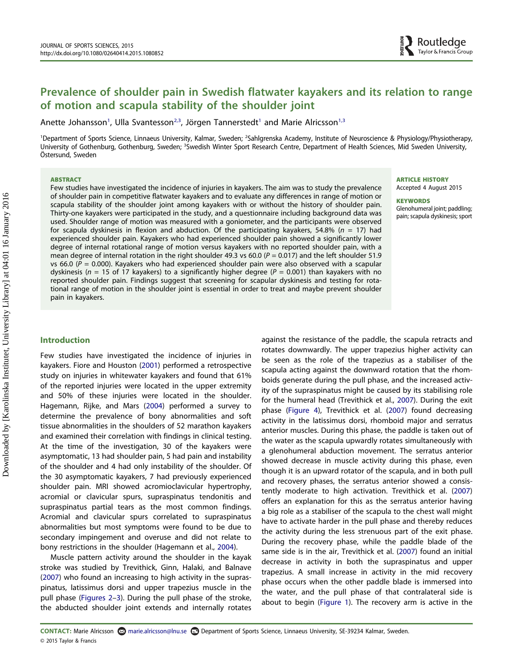# Prevalence of shoulder pain in Swedish flatwater kayakers and its relation to range of motion and scapula stability of the shoulder joint

Anette Johansson<sup>1</sup>, Ulla Svantesson<sup>[2](#page-1-0)[,3](#page-1-1)</sup>, Jörgen Tannerstedt<sup>[1](#page-1-0)</sup> and Marie Alricsson<sup>1,3</sup>

<span id="page-1-1"></span><span id="page-1-0"></span><sup>1</sup>Department of Sports Science, Linnaeus University, Kalmar, Sweden; <sup>2</sup>Sahlgrenska Academy, Institute of Neuroscience & Physiology/Physiotherapy, University of Gothenburg, Gothenburg, Sweden; <sup>3</sup>Swedish Winter Sport Research Centre, Department of Health Sciences, Mid Sweden University, Östersund, Sweden

#### ABSTRACT

Few studies have investigated the incidence of injuries in kayakers. The aim was to study the prevalence of shoulder pain in competitive flatwater kayakers and to evaluate any differences in range of motion or scapula stability of the shoulder joint among kayakers with or without the history of shoulder pain. Thirty-one kayakers were participated in the study, and a questionnaire including background data was used. Shoulder range of motion was measured with a goniometer, and the participants were observed for scapula dyskinesis in flexion and abduction. Of the participating kayakers, 54.8% ( $n = 17$ ) had experienced shoulder pain. Kayakers who had experienced shoulder pain showed a significantly lower degree of internal rotational range of motion versus kayakers with no reported shoulder pain, with a mean degree of internal rotation in the right shoulder 49.3 vs 60.0 ( $P = 0.017$ ) and the left shoulder 51.9 vs 66.0 ( $P = 0.000$ ). Kayakers who had experienced shoulder pain were also observed with a scapular dyskinesis ( $n = 15$  of 17 kayakers) to a significantly higher degree ( $P = 0.001$ ) than kayakers with no reported shoulder pain. Findings suggest that screening for scapular dyskinesis and testing for rotational range of motion in the shoulder joint is essential in order to treat and maybe prevent shoulder pain in kayakers.

ARTICLE HISTORY Accepted 4 August 2015

#### **KEYWORDS** Glenohumeral joint; paddling; pain; scapula dyskinesis; sport

Downloaded by [Karolinska Institutet, University Library] at 04:01 16 January 2016 Downloaded by [Karolinska Institutet, University Library] at 04:01 16 January 2016

# Introduction

Few studies have investigated the incidence of injuries in kayakers. Fiore and Houston [\(2001\)](#page-7-0) performed a retrospective study on injuries in whitewater kayakers and found that 61% of the reported injuries were located in the upper extremity and 50% of these injuries were located in the shoulder. Hagemann, Rijke, and Mars [\(2004\)](#page-7-1) performed a survey to determine the prevalence of bony abnormalities and soft tissue abnormalities in the shoulders of 52 marathon kayakers and examined their correlation with findings in clinical testing. At the time of the investigation, 30 of the kayakers were asymptomatic, 13 had shoulder pain, 5 had pain and instability of the shoulder and 4 had only instability of the shoulder. Of the 30 asymptomatic kayakers, 7 had previously experienced shoulder pain. MRI showed acromioclavicular hypertrophy, acromial or clavicular spurs, supraspinatus tendonitis and supraspinatus partial tears as the most common findings. Acromial and clavicular spurs correlated to supraspinatus abnormalities but most symptoms were found to be due to secondary impingement and overuse and did not relate to bony restrictions in the shoulder (Hagemann et al., [2004\)](#page-7-1).

Muscle pattern activity around the shoulder in the kayak stroke was studied by Trevithick, Ginn, Halaki, and Balnave ([2007](#page-8-0)) who found an increasing to high activity in the supraspinatus, latissimus dorsi and upper trapezius muscle in the pull phase [\(Figures 2](#page-2-0)–[3](#page-2-1)). During the pull phase of the stroke, the abducted shoulder joint extends and internally rotates

against the resistance of the paddle, the scapula retracts and rotates downwardly. The upper trapezius higher activity can be seen as the role of the trapezius as a stabiliser of the scapula acting against the downward rotation that the rhomboids generate during the pull phase, and the increased activity of the supraspinatus might be caused by its stabilising role for the humeral head (Trevithick et al., [2007](#page-8-0)). During the exit phase [\(Figure 4\)](#page-2-2), Trevithick et al. ([2007](#page-8-0)) found decreasing activity in the latissimus dorsi, rhomboid major and serratus anterior muscles. During this phase, the paddle is taken out of the water as the scapula upwardly rotates simultaneously with a glenohumeral abduction movement. The serratus anterior showed decrease in muscle activity during this phase, even though it is an upward rotator of the scapula, and in both pull and recovery phases, the serratus anterior showed a consistently moderate to high activation. Trevithick et al. [\(2007\)](#page-8-0) offers an explanation for this as the serratus anterior having a big role as a stabiliser of the scapula to the chest wall might have to activate harder in the pull phase and thereby reduces the activity during the less strenuous part of the exit phase. During the recovery phase, while the paddle blade of the same side is in the air, Trevithick et al. ([2007](#page-8-0)) found an initial decrease in activity in both the supraspinatus and upper trapezius. A small increase in activity in the mid recovery phase occurs when the other paddle blade is immersed into the water, and the pull phase of that contralateral side is about to begin [\(Figure 1](#page-2-3)). The recovery arm is active in the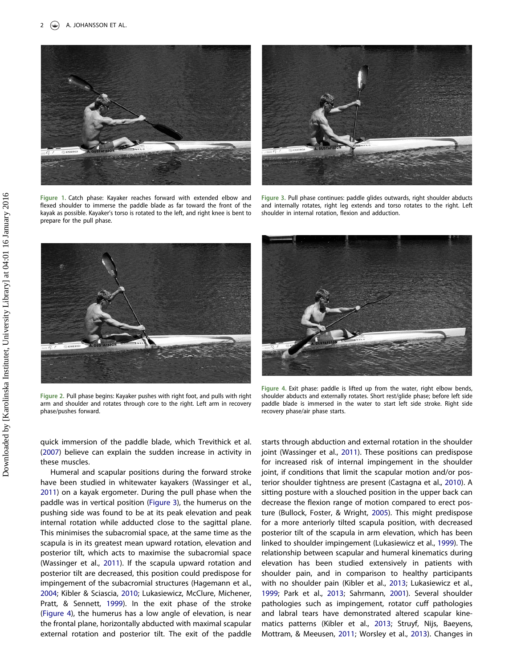

Figure 1. Catch phase: Kayaker reaches forward with extended elbow and flexed shoulder to immerse the paddle blade as far toward the front of the kayak as possible. Kayaker's torso is rotated to the left, and right knee is bent to prepare for the pull phase.



Figure 3. Pull phase continues: paddle glides outwards, right shoulder abducts and internally rotates, right leg extends and torso rotates to the right. Left shoulder in internal rotation, flexion and adduction.

<span id="page-2-3"></span>

Figure 2. Pull phase begins: Kayaker pushes with right foot, and pulls with right arm and shoulder and rotates through core to the right. Left arm in recovery phase/pushes forward.

<span id="page-2-1"></span>

Figure 4. Exit phase: paddle is lifted up from the water, right elbow bends, shoulder abducts and externally rotates. Short rest/glide phase; before left side paddle blade is immersed in the water to start left side stroke. Right side recovery phase/air phase starts.

<span id="page-2-0"></span>quick immersion of the paddle blade, which Trevithick et al. ([2007](#page-8-0)) believe can explain the sudden increase in activity in these muscles.

Humeral and scapular positions during the forward stroke have been studied in whitewater kayakers (Wassinger et al., [2011\)](#page-8-1) on a kayak ergometer. During the pull phase when the paddle was in vertical position [\(Figure 3](#page-2-1)), the humerus on the pushing side was found to be at its peak elevation and peak internal rotation while adducted close to the sagittal plane. This minimises the subacromial space, at the same time as the scapula is in its greatest mean upward rotation, elevation and posterior tilt, which acts to maximise the subacromial space (Wassinger et al., [2011](#page-8-1)). If the scapula upward rotation and posterior tilt are decreased, this position could predispose for impingement of the subacromial structures (Hagemann et al., [2004;](#page-7-1) Kibler & Sciascia, [2010;](#page-7-2) Lukasiewicz, McClure, Michener, Pratt, & Sennett, [1999\)](#page-7-3). In the exit phase of the stroke ([Figure 4](#page-2-2)), the humerus has a low angle of elevation, is near the frontal plane, horizontally abducted with maximal scapular external rotation and posterior tilt. The exit of the paddle

<span id="page-2-2"></span>starts through abduction and external rotation in the shoulder joint (Wassinger et al., [2011\)](#page-8-1). These positions can predispose for increased risk of internal impingement in the shoulder joint, if conditions that limit the scapular motion and/or posterior shoulder tightness are present (Castagna et al., [2010](#page-7-4)). A sitting posture with a slouched position in the upper back can decrease the flexion range of motion compared to erect posture (Bullock, Foster, & Wright, [2005](#page-7-5)). This might predispose for a more anteriorly tilted scapula position, with decreased posterior tilt of the scapula in arm elevation, which has been linked to shoulder impingement (Lukasiewicz et al., [1999](#page-7-3)). The relationship between scapular and humeral kinematics during elevation has been studied extensively in patients with shoulder pain, and in comparison to healthy participants with no shoulder pain (Kibler et al., [2013](#page-7-6); Lukasiewicz et al., [1999](#page-7-3); Park et al., [2013](#page-7-7); Sahrmann, [2001\)](#page-7-8). Several shoulder pathologies such as impingement, rotator cuff pathologies and labral tears have demonstrated altered scapular kinematics patterns (Kibler et al., [2013](#page-7-6); Struyf, Nijs, Baeyens, Mottram, & Meeusen, [2011;](#page-7-9) Worsley et al., [2013\)](#page-8-2). Changes in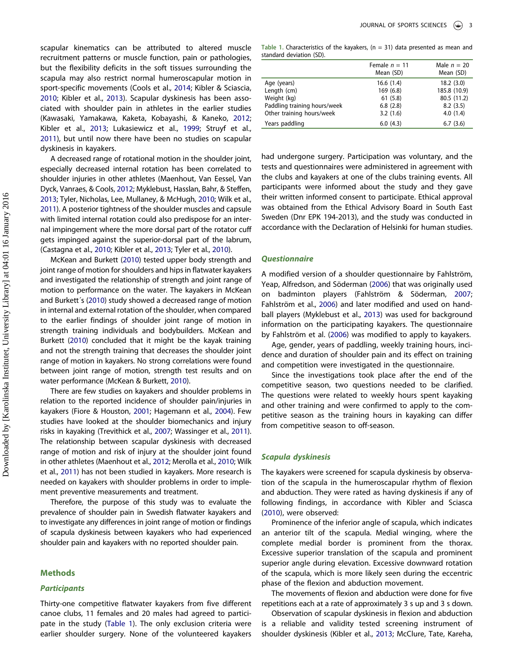scapular kinematics can be attributed to altered muscle recruitment patterns or muscle function, pain or pathologies, but the flexibility deficits in the soft tissues surrounding the scapula may also restrict normal humeroscapular motion in sport-specific movements (Cools et al., [2014](#page-7-10); Kibler & Sciascia, [2010;](#page-7-2) Kibler et al., [2013](#page-7-6)). Scapular dyskinesis has been associated with shoulder pain in athletes in the earlier studies (Kawasaki, Yamakawa, Kaketa, Kobayashi, & Kaneko, [2012;](#page-7-11) Kibler et al., [2013;](#page-7-6) Lukasiewicz et al., [1999](#page-7-3); Struyf et al., [2011\)](#page-7-9), but until now there have been no studies on scapular dyskinesis in kayakers.

A decreased range of rotational motion in the shoulder joint, especially decreased internal rotation has been correlated to shoulder injuries in other athletes (Maenhout, Van Eessel, Van Dyck, Vanraes, & Cools, [2012](#page-7-12); Myklebust, Hasslan, Bahr, & Steffen, [2013](#page-7-13); Tyler, Nicholas, Lee, Mullaney, & McHugh, [2010;](#page-8-3) Wilk et al., [2011](#page-8-4)). A posterior tightness of the shoulder muscles and capsule with limited internal rotation could also predispose for an internal impingement where the more dorsal part of the rotator cuff gets impinged against the superior-dorsal part of the labrum, (Castagna et al., [2010](#page-7-4); Kibler et al., [2013](#page-7-6); Tyler et al., [2010](#page-8-3)).

McKean and Burkett [\(2010](#page-7-14)) tested upper body strength and joint range of motion for shoulders and hips in flatwater kayakers and investigated the relationship of strength and joint range of motion to performance on the water. The kayakers in McKean and Burkett´s [\(2010](#page-7-14)) study showed a decreased range of motion in internal and external rotation of the shoulder, when compared to the earlier findings of shoulder joint range of motion in strength training individuals and bodybuilders. McKean and Burkett [\(2010](#page-7-14)) concluded that it might be the kayak training and not the strength training that decreases the shoulder joint range of motion in kayakers. No strong correlations were found between joint range of motion, strength test results and on water performance (McKean & Burkett, [2010\)](#page-7-14).

There are few studies on kayakers and shoulder problems in relation to the reported incidence of shoulder pain/injuries in kayakers (Fiore & Houston, [2001;](#page-7-0) Hagemann et al., [2004](#page-7-1)). Few studies have looked at the shoulder biomechanics and injury risks in kayaking (Trevithick et al., [2007;](#page-8-0) Wassinger et al., [2011](#page-8-1)). The relationship between scapular dyskinesis with decreased range of motion and risk of injury at the shoulder joint found in other athletes (Maenhout et al., [2012;](#page-7-12) Merolla et al., [2010;](#page-7-15) Wilk et al., [2011](#page-8-4)) has not been studied in kayakers. More research is needed on kayakers with shoulder problems in order to implement preventive measurements and treatment.

Therefore, the purpose of this study was to evaluate the prevalence of shoulder pain in Swedish flatwater kayakers and to investigate any differences in joint range of motion or findings of scapula dyskinesis between kayakers who had experienced shoulder pain and kayakers with no reported shoulder pain.

#### Methods

#### **Participants**

Thirty-one competitive flatwater kayakers from five different canoe clubs, 11 females and 20 males had agreed to participate in the study [\(Table 1\)](#page-3-0). The only exclusion criteria were earlier shoulder surgery. None of the volunteered kayakers

<span id="page-3-0"></span>Table 1. Characteristics of the kayakers, ( $n = 31$ ) data presented as mean and standard deviation (SD).

|                              | Female $n = 11$<br>Mean (SD) | Male $n = 20$<br>Mean (SD) |
|------------------------------|------------------------------|----------------------------|
| Age (years)                  | 16.6(1.4)                    | 18.2(3.0)                  |
| Length (cm)                  | 169(6.8)                     | 185.8 (10.9)               |
| Weight (kg)                  | 61(5.8)                      | 80.5 (11.2)                |
| Paddling training hours/week | 6.8(2.8)                     | 8.2(3.5)                   |
| Other training hours/week    | 3.2(1.6)                     | 4.0(1.4)                   |
| Years paddling               | 6.0(4.3)                     | 6.7(3.6)                   |
|                              |                              |                            |

had undergone surgery. Participation was voluntary, and the tests and questionnaires were administered in agreement with the clubs and kayakers at one of the clubs training events. All participants were informed about the study and they gave their written informed consent to participate. Ethical approval was obtained from the Ethical Advisory Board in South East Sweden (Dnr EPK 194-2013), and the study was conducted in accordance with the Declaration of Helsinki for human studies.

### **Ouestionnaire**

A modified version of a shoulder questionnaire by Fahlström, Yeap, Alfredson, and Söderman ([2006](#page-7-16)) that was originally used on badminton players (Fahlström & Söderman, [2007;](#page-7-17) Fahlström et al., [2006\)](#page-7-16) and later modified and used on handball players (Myklebust et al., [2013\)](#page-7-13) was used for background information on the participating kayakers. The questionnaire by Fahlström et al. [\(2006\)](#page-7-16) was modified to apply to kayakers.

Age, gender, years of paddling, weekly training hours, incidence and duration of shoulder pain and its effect on training and competition were investigated in the questionnaire.

Since the investigations took place after the end of the competitive season, two questions needed to be clarified. The questions were related to weekly hours spent kayaking and other training and were confirmed to apply to the competitive season as the training hours in kayaking can differ from competitive season to off-season.

#### Scapula dyskinesis

The kayakers were screened for scapula dyskinesis by observation of the scapula in the humeroscapular rhythm of flexion and abduction. They were rated as having dyskinesis if any of following findings, in accordance with Kibler and Sciasca [\(2010\)](#page-7-2), were observed:

Prominence of the inferior angle of scapula, which indicates an anterior tilt of the scapula. Medial winging, where the complete medial border is prominent from the thorax. Excessive superior translation of the scapula and prominent superior angle during elevation. Excessive downward rotation of the scapula, which is more likely seen during the eccentric phase of the flexion and abduction movement.

The movements of flexion and abduction were done for five repetitions each at a rate of approximately 3 s up and 3 s down.

Observation of scapular dyskinesis in flexion and abduction is a reliable and validity tested screening instrument of shoulder dyskinesis (Kibler et al., [2013](#page-7-6); McClure, Tate, Kareha,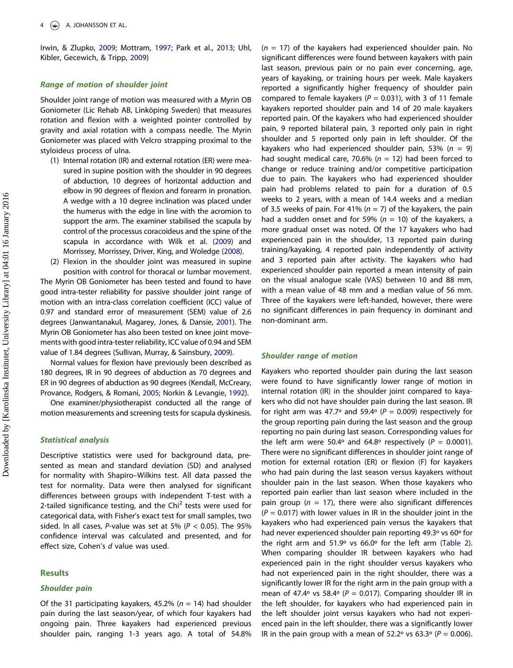Irwin, & Zlupko, [2009](#page-7-18); Mottram, [1997](#page-7-19); Park et al., [2013](#page-7-7); Uhl, Kibler, Gecewich, & Tripp, [2009](#page-8-5))

# Range of motion of shoulder joint

Shoulder joint range of motion was measured with a Myrin OB Goniometer (Lic Rehab AB, Linköping Sweden) that measures rotation and flexion with a weighted pointer controlled by gravity and axial rotation with a compass needle. The Myrin Goniometer was placed with Velcro strapping proximal to the styloideus process of ulna.

(1) Internal rotation (IR) and external rotation (ER) were measured in supine position with the shoulder in 90 degrees of abduction, 10 degrees of horizontal adduction and elbow in 90 degrees of flexion and forearm in pronation. A wedge with a 10 degree inclination was placed under the humerus with the edge in line with the acromion to support the arm. The examiner stabilised the scapula by control of the processus coracoideus and the spine of the scapula in accordance with Wilk et al. [\(2009\)](#page-8-6) and Morrissey, Morrissey, Driver, King, and Woledge [\(2008](#page-7-20)).

(2) Flexion in the shoulder joint was measured in supine position with control for thoracal or lumbar movement. The Myrin OB Goniometer has been tested and found to have good intra-tester reliability for passive shoulder joint range of motion with an intra-class correlation coefficient (ICC) value of 0.97 and standard error of measurement (SEM) value of 2.6 degrees (Janwantanakul, Magarey, Jones, & Dansie, [2001](#page-7-21)). The Myrin OB Goniometer has also been tested on knee joint movements with good intra-tester reliability, ICC value of 0.94 and SEM value of 1.84 degrees (Sullivan, Murray, & Sainsbury, [2009](#page-7-22)).

Normal values for flexion have previously been described as 180 degrees, IR in 90 degrees of abduction as 70 degrees and ER in 90 degrees of abduction as 90 degrees (Kendall, McCreary, Provance, Rodgers, & Romani, [2005;](#page-7-23) Norkin & Levangie, [1992\)](#page-7-24).

One examiner/physiotherapist conducted all the range of motion measurements and screening tests for scapula dyskinesis.

# Statistical analysis

Descriptive statistics were used for background data, presented as mean and standard deviation (SD) and analysed for normality with Shapiro–Wilkins test. All data passed the test for normality. Data were then analysed for significant differences between groups with independent T-test with a 2-tailed significance testing, and the Chi<sup>2</sup> tests were used for categorical data, with Fisher's exact test for small samples, two sided. In all cases, P-value was set at 5% ( $P < 0.05$ ). The 95% confidence interval was calculated and presented, and for effect size, Cohen's d value was used.

## **Results**

### Shoulder pain

Of the 31 participating kayakers, 45.2% ( $n = 14$ ) had shoulder pain during the last season/year, of which four kayakers had ongoing pain. Three kayakers had experienced previous shoulder pain, ranging 1-3 years ago. A total of 54.8%

 $(n = 17)$  of the kayakers had experienced shoulder pain. No significant differences were found between kayakers with pain last season, previous pain or no pain ever concerning, age, years of kayaking, or training hours per week. Male kayakers reported a significantly higher frequency of shoulder pain compared to female kayakers ( $P = 0.031$ ), with 3 of 11 female kayakers reported shoulder pain and 14 of 20 male kayakers reported pain. Of the kayakers who had experienced shoulder pain, 9 reported bilateral pain, 3 reported only pain in right shoulder and 5 reported only pain in left shoulder. Of the kayakers who had experienced shoulder pain, 53% ( $n = 9$ ) had sought medical care, 70.6% ( $n = 12$ ) had been forced to change or reduce training and/or competitive participation due to pain. The kayakers who had experienced shoulder pain had problems related to pain for a duration of 0.5 weeks to 2 years, with a mean of 14.4 weeks and a median of 3.5 weeks of pain. For 41% ( $n = 7$ ) of the kayakers, the pain had a sudden onset and for 59% ( $n = 10$ ) of the kayakers, a more gradual onset was noted. Of the 17 kayakers who had experienced pain in the shoulder, 13 reported pain during training/kayaking, 4 reported pain independently of activity and 3 reported pain after activity. The kayakers who had experienced shoulder pain reported a mean intensity of pain on the visual analogue scale (VAS) between 10 and 88 mm, with a mean value of 48 mm and a median value of 56 mm. Three of the kayakers were left-handed, however, there were no significant differences in pain frequency in dominant and non-dominant arm.

# Shoulder range of motion

Kayakers who reported shoulder pain during the last season were found to have significantly lower range of motion in internal rotation (IR) in the shoulder joint compared to kayakers who did not have shoulder pain during the last season. IR for right arm was 47.7° and 59.4° ( $P = 0.009$ ) respectively for the group reporting pain during the last season and the group reporting no pain during last season. Corresponding values for the left arm were 50.4° and 64.8° respectively ( $P = 0.0001$ ). There were no significant differences in shoulder joint range of motion for external rotation (ER) or flexion (F) for kayakers who had pain during the last season versus kayakers without shoulder pain in the last season. When those kayakers who reported pain earlier than last season where included in the pain group ( $n = 17$ ), there were also significant differences  $(P = 0.017)$  with lower values in IR in the shoulder joint in the kayakers who had experienced pain versus the kayakers that had never experienced shoulder pain reporting 49.3º vs 60º for the right arm and 51.9º vs 66.0º for the left arm ([Table 2\)](#page-5-0). When comparing shoulder IR between kayakers who had experienced pain in the right shoulder versus kayakers who had not experienced pain in the right shoulder, there was a significantly lower IR for the right arm in the pain group with a mean of 47.4° vs 58.4° ( $P = 0.017$ ). Comparing shoulder IR in the left shoulder, for kayakers who had experienced pain in the left shoulder joint versus kayakers who had not experienced pain in the left shoulder, there was a significantly lower IR in the pain group with a mean of 52.2° vs 63.3° ( $P = 0.006$ ).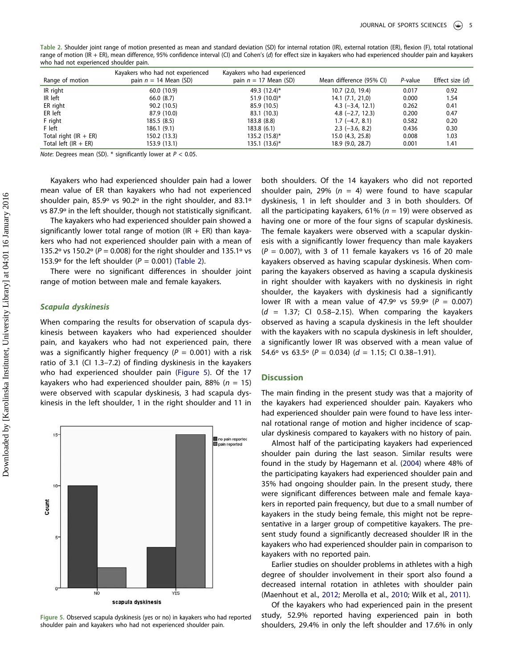<span id="page-5-0"></span>Table 2. Shoulder joint range of motion presented as mean and standard deviation (SD) for internal rotation (IR), external rotation (ER), flexion (F), total rotational range of motion (IR + ER), mean difference, 95% confidence interval (CI) and Cohen's (d) for effect size in kayakers who had experienced shoulder pain and kayakers who had not experienced shoulder pain.

|                         | Kayakers who had not experienced | Kayakers who had experienced |                          |         |                 |
|-------------------------|----------------------------------|------------------------------|--------------------------|---------|-----------------|
| Range of motion         | pain $n = 14$ Mean (SD)          | pain $n = 17$ Mean (SD)      | Mean difference (95% CI) | P-value | Effect size (d) |
| IR right                | 60.0 (10.9)                      | 49.3 (12.4)*                 | $10.7$ $(2.0, 19.4)$     | 0.017   | 0.92            |
| IR left                 | 66.0 (8.7)                       | 51.9 (10.0)*                 | 14.1(7.1, 21.0)          | 0.000   | 1.54            |
| ER right                | 90.2(10.5)                       | 85.9 (10.5)                  | $4.3$ (-3.4, 12.1)       | 0.262   | 0.41            |
| ER left                 | 87.9 (10.0)                      | 83.1 (10.3)                  | $4.8$ (-2.7, 12.3)       | 0.200   | 0.47            |
| F right                 | 185.5(8.5)                       | 183.8 (8.8)                  | $1.7(-4.7, 8.1)$         | 0.582   | 0.20            |
| F left                  | 186.1(9.1)                       | 183.8(6.1)                   | $2.3$ (-3.6, 8.2)        | 0.436   | 0.30            |
| Total right $(IR + ER)$ | 150.2 (13.3)                     | 135.2 (15.8)*                | 15.0 (4.3, 25.8)         | 0.008   | 1.03            |
| Total left (IR $+$ ER)  | 153.9(13.1)                      | $135.1 (13.6)^*$             | 18.9 (9.0, 28.7)         | 0.001   | 1.41            |

*Note*: Degrees mean (SD).  $*$  significantly lower at  $P < 0.05$ .

Kayakers who had experienced shoulder pain had a lower mean value of ER than kayakers who had not experienced shoulder pain, 85.9º vs 90.2º in the right shoulder, and 83.1º vs 87.9º in the left shoulder, though not statistically significant.

The kayakers who had experienced shoulder pain showed a significantly lower total range of motion (IR  $+$  ER) than kayakers who had not experienced shoulder pain with a mean of 135.2° vs 150.2° ( $P = 0.008$ ) for the right shoulder and 135.1° vs 153.9° for the left shoulder ( $P = 0.001$ ) [\(Table 2\)](#page-5-0).

There were no significant differences in shoulder joint range of motion between male and female kayakers.

#### Scapula dyskinesis

When comparing the results for observation of scapula dyskinesis between kayakers who had experienced shoulder pain, and kayakers who had not experienced pain, there was a significantly higher frequency ( $P = 0.001$ ) with a risk ratio of 3.1 (CI 1.3–7.2) of finding dyskinesis in the kayakers who had experienced shoulder pain [\(Figure 5\)](#page-5-1). Of the 17 kayakers who had experienced shoulder pain, 88% ( $n = 15$ ) were observed with scapular dyskinesis, 3 had scapula dyskinesis in the left shoulder, 1 in the right shoulder and 11 in



<span id="page-5-1"></span>Figure 5. Observed scapula dyskinesis (yes or no) in kayakers who had reported shoulder pain and kayakers who had not experienced shoulder pain.

both shoulders. Of the 14 kayakers who did not reported shoulder pain, 29% ( $n = 4$ ) were found to have scapular dyskinesis, 1 in left shoulder and 3 in both shoulders. Of all the participating kayakers, 61% ( $n = 19$ ) were observed as having one or more of the four signs of scapular dyskinesis. The female kayakers were observed with a scapular dyskinesis with a significantly lower frequency than male kayakers  $(P = 0.007)$ , with 3 of 11 female kayakers vs 16 of 20 male kayakers observed as having scapular dyskinesis. When comparing the kayakers observed as having a scapula dyskinesis in right shoulder with kayakers with no dyskinesis in right shoulder, the kayakers with dyskinesis had a significantly lower IR with a mean value of 47.9° vs 59.9° ( $P = 0.007$ )  $(d = 1.37;$  CI 0.58-2.15). When comparing the kayakers observed as having a scapula dyskinesis in the left shoulder with the kayakers with no scapula dyskinesis in left shoulder, a significantly lower IR was observed with a mean value of 54.6° vs 63.5° ( $P = 0.034$ ) ( $d = 1.15$ ; CI 0.38-1.91).

### **Discussion**

The main finding in the present study was that a majority of the kayakers had experienced shoulder pain. Kayakers who had experienced shoulder pain were found to have less internal rotational range of motion and higher incidence of scapular dyskinesis compared to kayakers with no history of pain.

Almost half of the participating kayakers had experienced shoulder pain during the last season. Similar results were found in the study by Hagemann et al. ([2004](#page-7-1)) where 48% of the participating kayakers had experienced shoulder pain and 35% had ongoing shoulder pain. In the present study, there were significant differences between male and female kayakers in reported pain frequency, but due to a small number of kayakers in the study being female, this might not be representative in a larger group of competitive kayakers. The present study found a significantly decreased shoulder IR in the kayakers who had experienced shoulder pain in comparison to kayakers with no reported pain.

Earlier studies on shoulder problems in athletes with a high degree of shoulder involvement in their sport also found a decreased internal rotation in athletes with shoulder pain (Maenhout et al., [2012](#page-7-12); Merolla et al., [2010;](#page-7-15) Wilk et al., [2011](#page-8-4)).

Of the kayakers who had experienced pain in the present study, 52.9% reported having experienced pain in both shoulders, 29.4% in only the left shoulder and 17.6% in only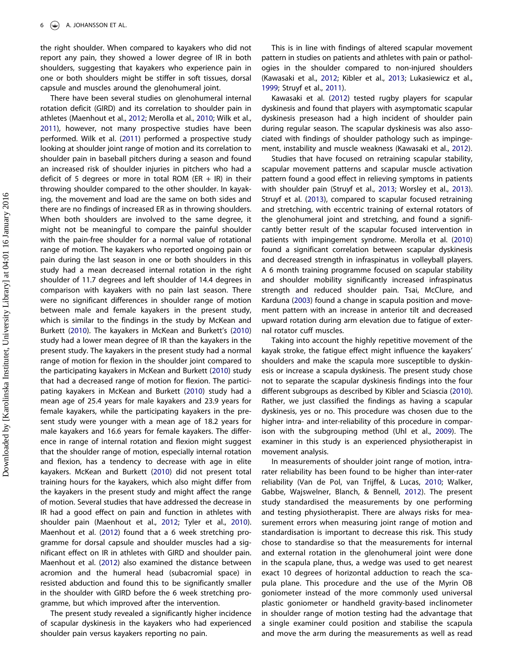the right shoulder. When compared to kayakers who did not report any pain, they showed a lower degree of IR in both shoulders, suggesting that kayakers who experience pain in one or both shoulders might be stiffer in soft tissues, dorsal capsule and muscles around the glenohumeral joint.

There have been several studies on glenohumeral internal rotation deficit (GIRD) and its correlation to shoulder pain in athletes (Maenhout et al., [2012](#page-7-12); Merolla et al., [2010](#page-7-15); Wilk et al., [2011\)](#page-8-4), however, not many prospective studies have been performed. Wilk et al. ([2011](#page-8-4)) performed a prospective study looking at shoulder joint range of motion and its correlation to shoulder pain in baseball pitchers during a season and found an increased risk of shoulder injuries in pitchers who had a deficit of 5 degrees or more in total ROM (ER  $+$  IR) in their throwing shoulder compared to the other shoulder. In kayaking, the movement and load are the same on both sides and there are no findings of increased ER as in throwing shoulders. When both shoulders are involved to the same degree, it might not be meaningful to compare the painful shoulder with the pain-free shoulder for a normal value of rotational range of motion. The kayakers who reported ongoing pain or pain during the last season in one or both shoulders in this study had a mean decreased internal rotation in the right shoulder of 11.7 degrees and left shoulder of 14.4 degrees in comparison with kayakers with no pain last season. There were no significant differences in shoulder range of motion between male and female kayakers in the present study, which is similar to the findings in the study by McKean and Burkett ([2010](#page-7-14)). The kayakers in McKean and Burkett's [\(2010](#page-7-14)) study had a lower mean degree of IR than the kayakers in the present study. The kayakers in the present study had a normal range of motion for flexion in the shoulder joint compared to the participating kayakers in McKean and Burkett ([2010](#page-7-14)) study that had a decreased range of motion for flexion. The participating kayakers in McKean and Burkett [\(2010\)](#page-7-14) study had a mean age of 25.4 years for male kayakers and 23.9 years for female kayakers, while the participating kayakers in the present study were younger with a mean age of 18.2 years for male kayakers and 16.6 years for female kayakers. The difference in range of internal rotation and flexion might suggest that the shoulder range of motion, especially internal rotation and flexion, has a tendency to decrease with age in elite kayakers. McKean and Burkett [\(2010\)](#page-7-14) did not present total training hours for the kayakers, which also might differ from the kayakers in the present study and might affect the range of motion. Several studies that have addressed the decrease in IR had a good effect on pain and function in athletes with shoulder pain (Maenhout et al., [2012](#page-7-12); Tyler et al., [2010](#page-8-3)). Maenhout et al. ([2012](#page-7-12)) found that a 6 week stretching programme for dorsal capsule and shoulder muscles had a significant effect on IR in athletes with GIRD and shoulder pain. Maenhout et al. [\(2012\)](#page-7-12) also examined the distance between acromion and the humeral head (subacromial space) in resisted abduction and found this to be significantly smaller in the shoulder with GIRD before the 6 week stretching programme, but which improved after the intervention.

The present study revealed a significantly higher incidence of scapular dyskinesis in the kayakers who had experienced shoulder pain versus kayakers reporting no pain.

This is in line with findings of altered scapular movement pattern in studies on patients and athletes with pain or pathologies in the shoulder compared to non-injured shoulders (Kawasaki et al., [2012;](#page-7-11) Kibler et al., [2013;](#page-7-6) Lukasiewicz et al., [1999](#page-7-3); Struyf et al., [2011](#page-7-9)).

Kawasaki et al. [\(2012\)](#page-7-11) tested rugby players for scapular dyskinesis and found that players with asymptomatic scapular dyskinesis preseason had a high incident of shoulder pain during regular season. The scapular dyskinesis was also associated with findings of shoulder pathology such as impingement, instability and muscle weakness (Kawasaki et al., [2012](#page-7-11)).

Studies that have focused on retraining scapular stability, scapular movement patterns and scapular muscle activation pattern found a good effect in relieving symptoms in patients with shoulder pain (Struyf et al., [2013](#page-7-25); Worsley et al., [2013\)](#page-8-2). Struyf et al. [\(2013\)](#page-7-25), compared to scapular focused retraining and stretching, with eccentric training of external rotators of the glenohumeral joint and stretching, and found a significantly better result of the scapular focused intervention in patients with impingement syndrome. Merolla et al. [\(2010\)](#page-7-15) found a significant correlation between scapular dyskinesis and decreased strength in infraspinatus in volleyball players. A 6 month training programme focused on scapular stability and shoulder mobility significantly increased infraspinatus strength and reduced shoulder pain. Tsai, McClure, and Karduna [\(2003\)](#page-8-7) found a change in scapula position and movement pattern with an increase in anterior tilt and decreased upward rotation during arm elevation due to fatigue of external rotator cuff muscles.

Taking into account the highly repetitive movement of the kayak stroke, the fatigue effect might influence the kayakers' shoulders and make the scapula more susceptible to dyskinesis or increase a scapula dyskinesis. The present study chose not to separate the scapular dyskinesis findings into the four different subgroups as described by Kibler and Sciascia [\(2010\)](#page-7-2). Rather, we just classified the findings as having a scapular dyskinesis, yes or no. This procedure was chosen due to the higher intra- and inter-reliability of this procedure in comparison with the subgrouping method (Uhl et al., [2009\)](#page-8-5). The examiner in this study is an experienced physiotherapist in movement analysis.

In measurements of shoulder joint range of motion, intrarater reliability has been found to be higher than inter-rater reliability (Van de Pol, van Trijffel, & Lucas, [2010;](#page-8-8) Walker, Gabbe, Wajswelner, Blanch, & Bennell, [2012\)](#page-8-9). The present study standardised the measurements by one performing and testing physiotherapist. There are always risks for measurement errors when measuring joint range of motion and standardisation is important to decrease this risk. This study chose to standardise so that the measurements for internal and external rotation in the glenohumeral joint were done in the scapula plane, thus, a wedge was used to get nearest exact 10 degrees of horizontal adduction to reach the scapula plane. This procedure and the use of the Myrin OB goniometer instead of the more commonly used universal plastic goniometer or handheld gravity-based inclinometer in shoulder range of motion testing had the advantage that a single examiner could position and stabilise the scapula and move the arm during the measurements as well as read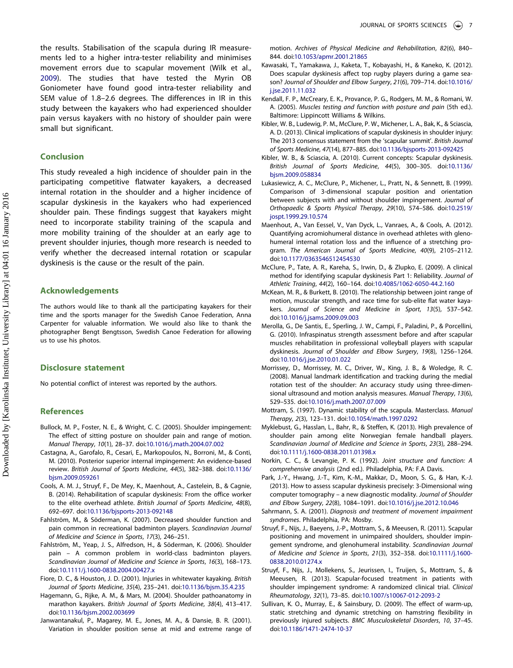the results. Stabilisation of the scapula during IR measurements led to a higher intra-tester reliability and minimises movement errors due to scapular movement (Wilk et al., [2009\)](#page-8-6). The studies that have tested the Myrin OB Goniometer have found good intra-tester reliability and SEM value of 1.8–2.6 degrees. The differences in IR in this study between the kayakers who had experienced shoulder pain versus kayakers with no history of shoulder pain were small but significant.

# Conclusion

This study revealed a high incidence of shoulder pain in the participating competitive flatwater kayakers, a decreased internal rotation in the shoulder and a higher incidence of scapular dyskinesis in the kayakers who had experienced shoulder pain. These findings suggest that kayakers might need to incorporate stability training of the scapula and more mobility training of the shoulder at an early age to prevent shoulder injuries, though more research is needed to verify whether the decreased internal rotation or scapular dyskinesis is the cause or the result of the pain.

#### Acknowledgements

The authors would like to thank all the participating kayakers for their time and the sports manager for the Swedish Canoe Federation, Anna Carpenter for valuable information. We would also like to thank the photographer Bengt Bengtsson, Swedish Canoe Federation for allowing us to use his photos.

### Disclosure statement

No potential conflict of interest was reported by the authors.

#### **References**

- <span id="page-7-5"></span>Bullock, M. P., Foster, N. E., & Wright, C. C. (2005). Shoulder impingement: The effect of sitting posture on shoulder pain and range of motion. Manual Therapy, 10(1), 28–37. doi:[10.1016/j.math.2004.07.002](http://dx.doi.org/10.1016/j.math.2004.07.002)
- <span id="page-7-4"></span>Castagna, A., Garofalo, R., Cesari, E., Markopoulos, N., Borroni, M., & Conti, M. (2010). Posterior superior internal impingement: An evidence-based review. British Journal of Sports Medicine, 44(5), 382–388. doi:[10.1136/](http://dx.doi.org/10.1136/bjsm.2009.059261) [bjsm.2009.059261](http://dx.doi.org/10.1136/bjsm.2009.059261)
- <span id="page-7-10"></span>Cools, A. M. J., Struyf, F., De Mey, K., Maenhout, A., Castelein, B., & Cagnie, B. (2014). Rehabilitation of scapular dyskinesis: From the office worker to the elite overhead athlete. British Journal of Sports Medicine, 48(8), 692–697. doi:[10.1136/bjsports-2013-092148](http://dx.doi.org/10.1136/bjsports-2013-092148)
- <span id="page-7-17"></span>Fahlström, M., & Söderman, K. (2007). Decreased shoulder function and pain common in recreational badminton players. Scandinavian Journal of Medicine and Science in Sports, 17(3), 246–251.
- <span id="page-7-16"></span>Fahlström, M., Yeap, J. S., Alfredson, H., & Söderman, K. (2006). Shoulder pain – A common problem in world-class badminton players. Scandinavian Journal of Medicine and Science in Sports, 16(3), 168–173. doi:[10.1111/j.1600-0838.2004.00427.x](http://dx.doi.org/10.1111/j.1600-0838.2004.00427.x)
- <span id="page-7-0"></span>Fiore, D. C., & Houston, J. D. (2001). Injuries in whitewater kayaking. British Journal of Sports Medicine, 35(4), 235–241. doi:[10.1136/bjsm.35.4.235](http://dx.doi.org/10.1136/bjsm.35.4.235)
- <span id="page-7-1"></span>Hagemann, G., Rijke, A. M., & Mars, M. (2004). Shoulder pathoanatomy in marathon kayakers. British Journal of Sports Medicine, 38(4), 413–417. doi:[10.1136/bjsm.2002.003699](http://dx.doi.org/10.1136/bjsm.2002.003699)
- <span id="page-7-21"></span>Janwantanakul, P., Magarey, M. E., Jones, M. A., & Dansie, B. R. (2001). Variation in shoulder position sense at mid and extreme range of

motion. Archives of Physical Medicine and Rehabilitation, 82(6), 840– 844. doi:[10.1053/apmr.2001.21865](http://dx.doi.org/10.1053/apmr.2001.21865)

- <span id="page-7-11"></span>Kawasaki, T., Yamakawa, J., Kaketa, T., Kobayashi, H., & Kaneko, K. (2012). Does scapular dyskinesis affect top rugby players during a game season? Journal of Shoulder and Elbow Surgery, 21(6), 709–714. doi:[10.1016/](http://dx.doi.org/10.1016/j.jse.2011.11.032) [j.jse.2011.11.032](http://dx.doi.org/10.1016/j.jse.2011.11.032)
- <span id="page-7-23"></span>Kendall, F. P., McCreary, E. K., Provance, P. G., Rodgers, M. M., & Romani, W. A. (2005). Muscles testing and function with posture and pain (5th ed.). Baltimore: Lippincott Williams & Wilkins.
- <span id="page-7-6"></span>Kibler, W. B., Ludewig, P. M., McClure, P. W., Michener, L. A., Bak, K., & Sciascia, A. D. (2013). Clinical implications of scapular dyskinesis in shoulder injury: The 2013 consensus statement from the 'scapular summit'. British Journal of Sports Medicine, 47(14), 877–885. doi:[10.1136/bjsports-2013-092425](http://dx.doi.org/10.1136/bjsports-2013-092425)
- <span id="page-7-2"></span>Kibler, W. B., & Sciascia, A. (2010). Current concepts: Scapular dyskinesis. British Journal of Sports Medicine, 44(5), 300–305. doi:[10.1136/](http://dx.doi.org/10.1136/bjsm.2009.058834) [bjsm.2009.058834](http://dx.doi.org/10.1136/bjsm.2009.058834)
- <span id="page-7-3"></span>Lukasiewicz, A. C., McClure, P., Michener, L., Pratt, N., & Sennett, B. (1999). Comparison of 3-dimensional scapular position and orientation between subjects with and without shoulder impingement. Journal of Orthopaedic & Sports Physical Therapy, 29(10), 574–586. doi:[10.2519/](http://dx.doi.org/10.2519/jospt.1999.29.10.574) [jospt.1999.29.10.574](http://dx.doi.org/10.2519/jospt.1999.29.10.574)
- <span id="page-7-12"></span>Maenhout, A., Van Eessel, V., Van Dyck, L., Vanraes, A., & Cools, A. (2012). Quantifying acromiohumeral distance in overhead athletes with glenohumeral internal rotation loss and the influence of a stretching program. The American Journal of Sports Medicine, 40(9), 2105–2112. doi:[10.1177/0363546512454530](http://dx.doi.org/10.1177/0363546512454530)
- <span id="page-7-18"></span>McClure, P., Tate, A. R., Kareha, S., Irwin, D., & Zlupko, E. (2009). A clinical method for identifying scapular dyskinesis Part 1: Reliability. Journal of Athletic Training, 44(2), 160–164. doi:[10.4085/1062-6050-44.2.160](http://dx.doi.org/10.4085/1062-6050-44.2.160)
- <span id="page-7-14"></span>McKean, M. R., & Burkett, B. (2010). The relationship between joint range of motion, muscular strength, and race time for sub-elite flat water kayakers. Journal of Science and Medicine in Sport, 13(5), 537–542. doi:[10.1016/j.jsams.2009.09.003](http://dx.doi.org/10.1016/j.jsams.2009.09.003)
- <span id="page-7-15"></span>Merolla, G., De Santis, E., Sperling, J. W., Campi, F., Paladini, P., & Porcellini, G. (2010). Infraspinatus strength assessment before and after scapular muscles rehabilitation in professional volleyball players with scapular dyskinesis. Journal of Shoulder and Elbow Surgery, 19(8), 1256–1264. doi:[10.1016/j.jse.2010.01.022](http://dx.doi.org/10.1016/j.jse.2010.01.022)
- <span id="page-7-20"></span>Morrissey, D., Morrissey, M. C., Driver, W., King, J. B., & Woledge, R. C. (2008). Manual landmark identification and tracking during the medial rotation test of the shoulder: An accuracy study using three-dimensional ultrasound and motion analysis measures. Manual Therapy, 13(6), 529–535. doi:[10.1016/j.math.2007.07.009](http://dx.doi.org/10.1016/j.math.2007.07.009)
- <span id="page-7-19"></span>Mottram, S. (1997). Dynamic stability of the scapula. Masterclass. Manual Therapy, 2(3), 123–131. doi:[10.1054/math.1997.0292](http://dx.doi.org/10.1054/math.1997.0292)
- <span id="page-7-13"></span>Myklebust, G., Hasslan, L., Bahr, R., & Steffen, K. (2013). High prevalence of shoulder pain among elite Norwegian female handball players. Scandinavian Journal of Medicine and Science in Sports, 23(3), 288–294. doi:[10.1111/j.1600-0838.2011.01398.x](http://dx.doi.org/10.1111/j.1600-0838.2011.01398.x)
- <span id="page-7-24"></span>Norkin, C. C., & Levangie, P. K. (1992). Joint structure and function: A comprehensive analysis (2nd ed.). Philadelphia, PA: F.A Davis.
- <span id="page-7-7"></span>Park, J.-Y., Hwang, J.-T., Kim, K.-M., Makkar, D., Moon, S. G., & Han, K.-J. (2013). How to assess scapular dyskinesis precisely: 3-Dimensional wing computer tomography – a new diagnostic modality. Journal of Shoulder and Elbow Surgery, 22(8), 1084–1091. doi:[10.1016/j.jse.2012.10.046](http://dx.doi.org/10.1016/j.jse.2012.10.046)
- <span id="page-7-8"></span>Sahrmann, S. A. (2001). Diagnosis and treatment of movement impairment syndromes. Philadelphia, PA: Mosby.
- <span id="page-7-9"></span>Struyf, F., Nijs, J., Baeyens, J.-P., Mottram, S., & Meeusen, R. (2011). Scapular positioning and movement in unimpaired shoulders, shoulder impingement syndrome, and glenohumeral instability. Scandinavian Journal of Medicine and Science in Sports, 21(3), 352–358. doi:[10.1111/j.1600-](http://dx.doi.org/10.1111/j.1600-0838.2010.01274.x) [0838.2010.01274.x](http://dx.doi.org/10.1111/j.1600-0838.2010.01274.x)
- <span id="page-7-25"></span>Struyf, F., Nijs, J., Mollekens, S., Jeurissen, I., Truijen, S., Mottram, S., & Meeusen, R. (2013). Scapular-focused treatment in patients with shoulder impingement syndrome: A randomized clinical trial. Clinical Rheumatology, 32(1), 73–85. doi:[10.1007/s10067-012-2093-2](http://dx.doi.org/10.1007/s10067-012-2093-2)
- <span id="page-7-22"></span>Sullivan, K. O., Murray, E., & Sainsbury, D. (2009). The effect of warm-up, static stretching and dynamic stretching on hamstring flexibility in previously injured subjects. BMC Musculoskeletal Disorders, 10, 37–45. doi:[10.1186/1471-2474-10-37](http://dx.doi.org/10.1186/1471-2474-10-37)